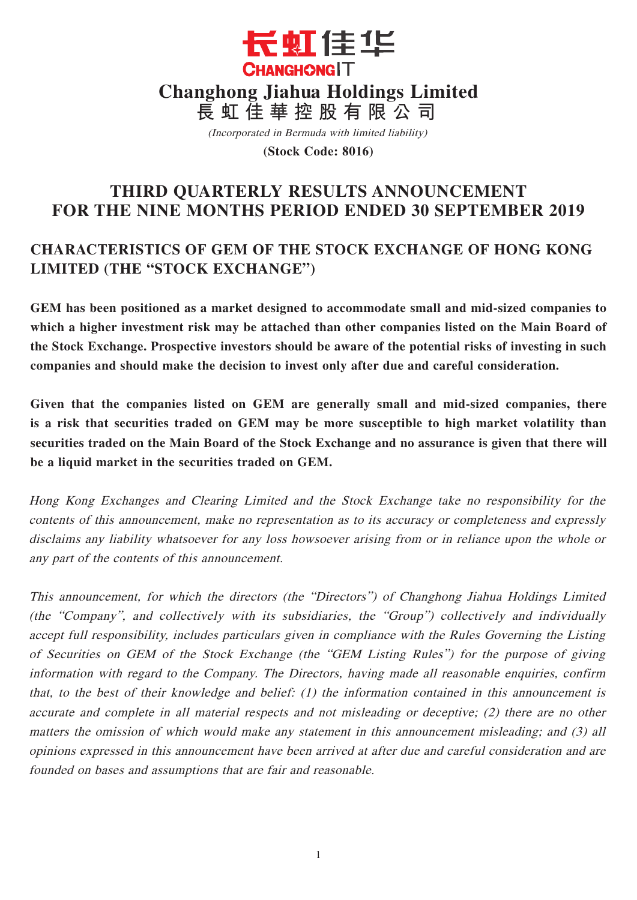

(Incorporated in Bermuda with limited liability)

**(Stock Code: 8016)**

# **THIRD QUARTERLY RESULTS ANNOUNCEMENT FOR THE NINE MONTHS PERIOD ENDED 30 SEPTEMBER 2019**

# **CHARACTERISTICS OF GEM OF THE STOCK EXCHANGE OF HONG KONG LIMITED (THE "STOCK EXCHANGE")**

**GEM has been positioned as a market designed to accommodate small and mid-sized companies to which a higher investment risk may be attached than other companies listed on the Main Board of the Stock Exchange. Prospective investors should be aware of the potential risks of investing in such companies and should make the decision to invest only after due and careful consideration.**

**Given that the companies listed on GEM are generally small and mid-sized companies, there is a risk that securities traded on GEM may be more susceptible to high market volatility than securities traded on the Main Board of the Stock Exchange and no assurance is given that there will be a liquid market in the securities traded on GEM.**

Hong Kong Exchanges and Clearing Limited and the Stock Exchange take no responsibility for the contents of this announcement, make no representation as to its accuracy or completeness and expressly disclaims any liability whatsoever for any loss howsoever arising from or in reliance upon the whole or any part of the contents of this announcement.

This announcement, for which the directors (the "Directors") of Changhong Jiahua Holdings Limited (the "Company", and collectively with its subsidiaries, the "Group") collectively and individually accept full responsibility, includes particulars given in compliance with the Rules Governing the Listing of Securities on GEM of the Stock Exchange (the "GEM Listing Rules") for the purpose of giving information with regard to the Company. The Directors, having made all reasonable enquiries, confirm that, to the best of their knowledge and belief: (1) the information contained in this announcement is accurate and complete in all material respects and not misleading or deceptive; (2) there are no other matters the omission of which would make any statement in this announcement misleading; and (3) all opinions expressed in this announcement have been arrived at after due and careful consideration and are founded on bases and assumptions that are fair and reasonable.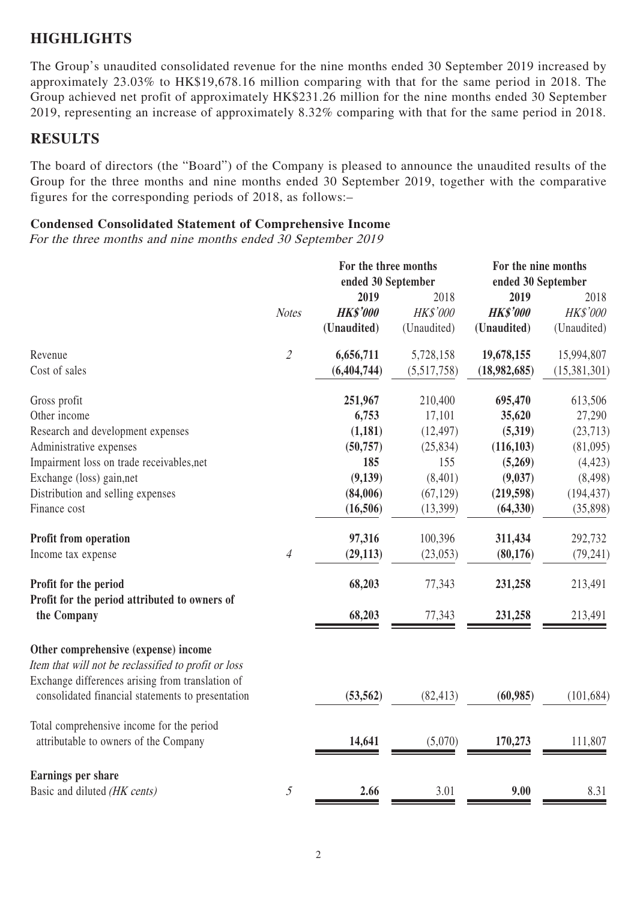## **HIGHLIGHTS**

The Group's unaudited consolidated revenue for the nine months ended 30 September 2019 increased by approximately 23.03% to HK\$19,678.16 million comparing with that for the same period in 2018. The Group achieved net profit of approximately HK\$231.26 million for the nine months ended 30 September 2019, representing an increase of approximately 8.32% comparing with that for the same period in 2018.

## **RESULTS**

The board of directors (the "Board") of the Company is pleased to announce the unaudited results of the Group for the three months and nine months ended 30 September 2019, together with the comparative figures for the corresponding periods of 2018, as follows:–

### **Condensed Consolidated Statement of Comprehensive Income**

For the three months and nine months ended 30 September 2019

|                                                                                                       |                             | For the three months<br>ended 30 September |             | For the nine months<br>ended 30 September |              |
|-------------------------------------------------------------------------------------------------------|-----------------------------|--------------------------------------------|-------------|-------------------------------------------|--------------|
|                                                                                                       |                             | 2019                                       | 2018        | 2019                                      | 2018         |
|                                                                                                       | <b>Notes</b>                | <b>HK\$'000</b>                            | HK\$'000    | <b>HK\$'000</b>                           | HK\$'000     |
|                                                                                                       |                             | (Unaudited)                                | (Unaudited) | (Unaudited)                               | (Unaudited)  |
| Revenue                                                                                               | $\mathcal{L}_{\mathcal{L}}$ | 6,656,711                                  | 5,728,158   | 19,678,155                                | 15,994,807   |
| Cost of sales                                                                                         |                             | (6,404,744)                                | (5,517,758) | (18,982,685)                              | (15,381,301) |
| Gross profit                                                                                          |                             | 251,967                                    | 210,400     | 695,470                                   | 613,506      |
| Other income                                                                                          |                             | 6,753                                      | 17,101      | 35,620                                    | 27,290       |
| Research and development expenses                                                                     |                             | (1,181)                                    | (12, 497)   | (5,319)                                   | (23, 713)    |
| Administrative expenses                                                                               |                             | (50, 757)                                  | (25, 834)   | (116, 103)                                | (81,095)     |
| Impairment loss on trade receivables, net                                                             |                             | 185                                        | 155         | (5,269)                                   | (4, 423)     |
| Exchange (loss) gain, net                                                                             |                             | (9,139)                                    | (8,401)     | (9,037)                                   | (8, 498)     |
| Distribution and selling expenses                                                                     |                             | (84,006)                                   | (67, 129)   | (219, 598)                                | (194, 437)   |
| Finance cost                                                                                          |                             | (16,506)                                   | (13,399)    | (64, 330)                                 | (35,898)     |
| Profit from operation                                                                                 |                             | 97,316                                     | 100,396     | 311,434                                   | 292,732      |
| Income tax expense                                                                                    | $\overline{4}$              | (29, 113)                                  | (23,053)    | (80, 176)                                 | (79, 241)    |
| Profit for the period                                                                                 |                             | 68,203                                     | 77,343      | 231,258                                   | 213,491      |
| Profit for the period attributed to owners of<br>the Company                                          |                             | 68,203                                     | 77,343      | 231,258                                   | 213,491      |
|                                                                                                       |                             |                                            |             |                                           |              |
| Other comprehensive (expense) income<br>Item that will not be reclassified to profit or loss          |                             |                                            |             |                                           |              |
| Exchange differences arising from translation of<br>consolidated financial statements to presentation |                             | (53, 562)                                  | (82, 413)   | (60, 985)                                 | (101, 684)   |
| Total comprehensive income for the period                                                             |                             |                                            |             |                                           |              |
| attributable to owners of the Company                                                                 |                             | 14,641                                     | (5,070)     | 170,273                                   | 111,807      |
| Earnings per share                                                                                    |                             |                                            |             |                                           |              |
| Basic and diluted (HK cents)                                                                          | $\mathfrak{H}$              | 2.66                                       | 3.01        | 9.00                                      | 8.31         |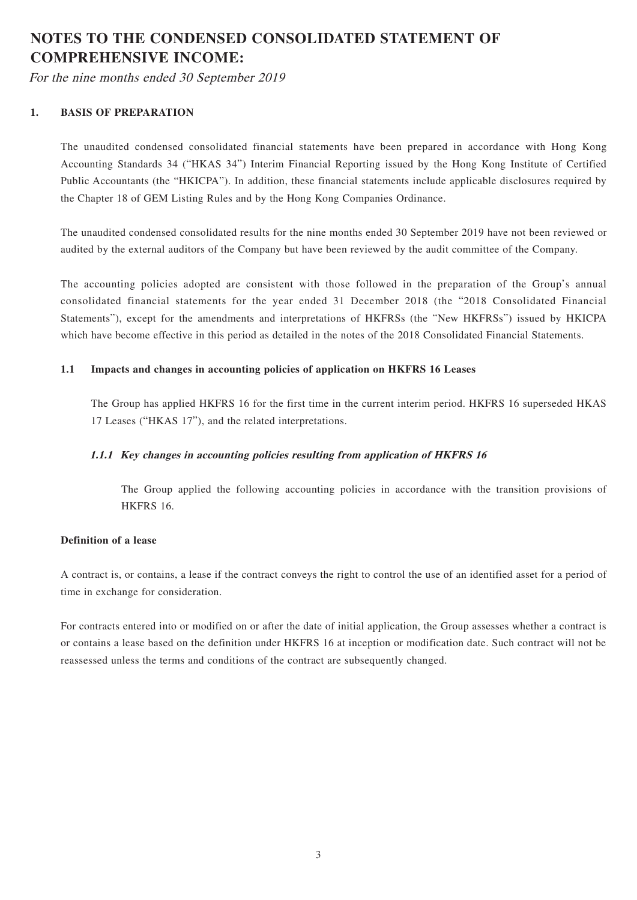# **NOTES TO THE CONDENSED CONSOLIDATED STATEMENT OF COMPREHENSIVE INCOME:**

For the nine months ended 30 September 2019

### **1. BASIS OF PREPARATION**

The unaudited condensed consolidated financial statements have been prepared in accordance with Hong Kong Accounting Standards 34 ("HKAS 34") Interim Financial Reporting issued by the Hong Kong Institute of Certified Public Accountants (the "HKICPA"). In addition, these financial statements include applicable disclosures required by the Chapter 18 of GEM Listing Rules and by the Hong Kong Companies Ordinance.

The unaudited condensed consolidated results for the nine months ended 30 September 2019 have not been reviewed or audited by the external auditors of the Company but have been reviewed by the audit committee of the Company.

The accounting policies adopted are consistent with those followed in the preparation of the Group's annual consolidated financial statements for the year ended 31 December 2018 (the "2018 Consolidated Financial Statements"), except for the amendments and interpretations of HKFRSs (the "New HKFRSs") issued by HKICPA which have become effective in this period as detailed in the notes of the 2018 Consolidated Financial Statements.

### **1.1 Impacts and changes in accounting policies of application on HKFRS 16 Leases**

The Group has applied HKFRS 16 for the first time in the current interim period. HKFRS 16 superseded HKAS 17 Leases ("HKAS 17"), and the related interpretations.

### **1.1.1 Key changes in accounting policies resulting from application of HKFRS 16**

The Group applied the following accounting policies in accordance with the transition provisions of HKFRS 16.

### **Definition of a lease**

A contract is, or contains, a lease if the contract conveys the right to control the use of an identified asset for a period of time in exchange for consideration.

For contracts entered into or modified on or after the date of initial application, the Group assesses whether a contract is or contains a lease based on the definition under HKFRS 16 at inception or modification date. Such contract will not be reassessed unless the terms and conditions of the contract are subsequently changed.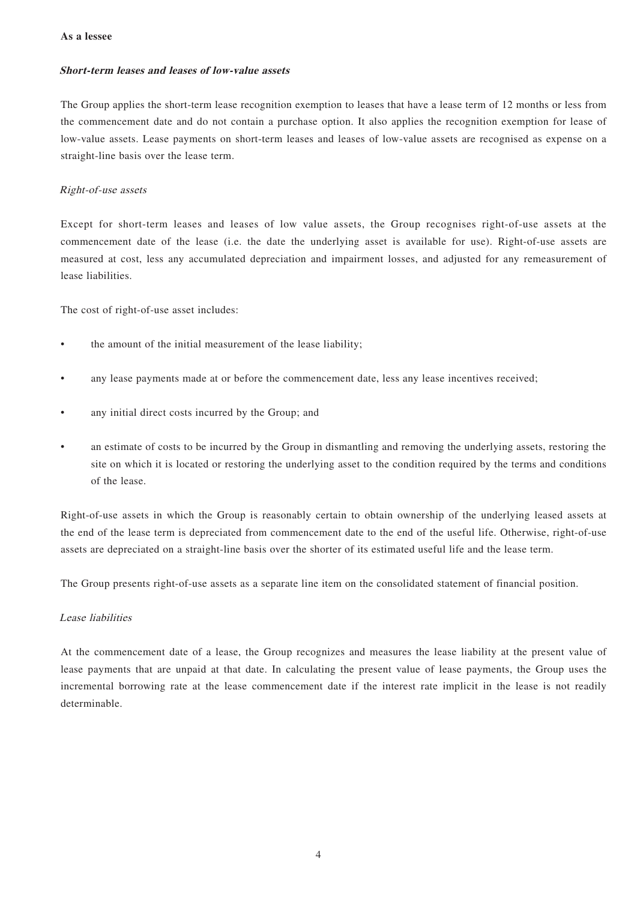#### **As a lessee**

#### **Short-term leases and leases of low-value assets**

The Group applies the short-term lease recognition exemption to leases that have a lease term of 12 months or less from the commencement date and do not contain a purchase option. It also applies the recognition exemption for lease of low-value assets. Lease payments on short-term leases and leases of low-value assets are recognised as expense on a straight-line basis over the lease term.

#### Right-of-use assets

Except for short-term leases and leases of low value assets, the Group recognises right-of-use assets at the commencement date of the lease (i.e. the date the underlying asset is available for use). Right-of-use assets are measured at cost, less any accumulated depreciation and impairment losses, and adjusted for any remeasurement of lease liabilities.

The cost of right-of-use asset includes:

- the amount of the initial measurement of the lease liability;
- any lease payments made at or before the commencement date, less any lease incentives received;
- any initial direct costs incurred by the Group; and
- an estimate of costs to be incurred by the Group in dismantling and removing the underlying assets, restoring the site on which it is located or restoring the underlying asset to the condition required by the terms and conditions of the lease.

Right-of-use assets in which the Group is reasonably certain to obtain ownership of the underlying leased assets at the end of the lease term is depreciated from commencement date to the end of the useful life. Otherwise, right-of-use assets are depreciated on a straight-line basis over the shorter of its estimated useful life and the lease term.

The Group presents right-of-use assets as a separate line item on the consolidated statement of financial position.

#### Lease liabilities

At the commencement date of a lease, the Group recognizes and measures the lease liability at the present value of lease payments that are unpaid at that date. In calculating the present value of lease payments, the Group uses the incremental borrowing rate at the lease commencement date if the interest rate implicit in the lease is not readily determinable.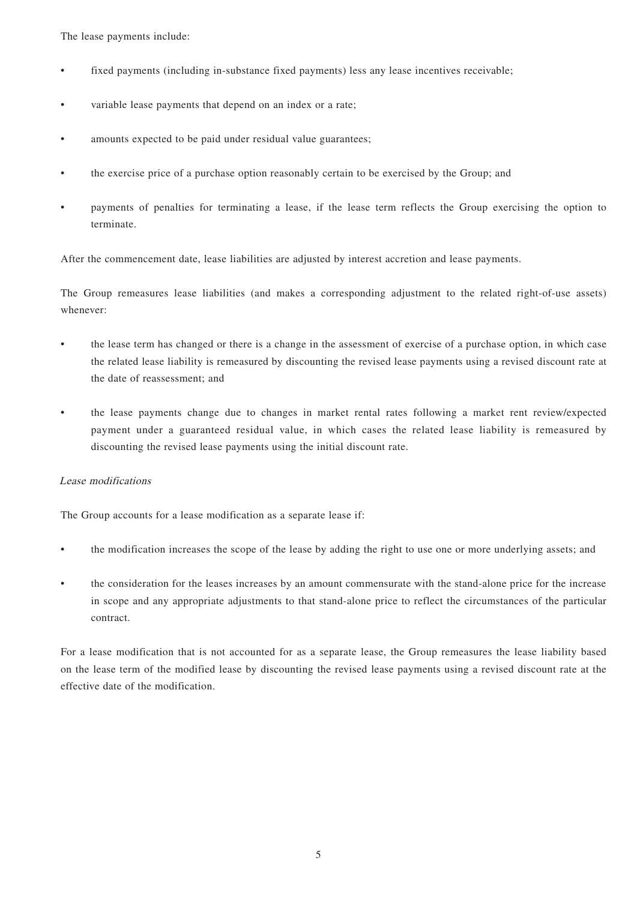The lease payments include:

- fixed payments (including in-substance fixed payments) less any lease incentives receivable;
- variable lease payments that depend on an index or a rate;
- amounts expected to be paid under residual value guarantees;
- the exercise price of a purchase option reasonably certain to be exercised by the Group; and
- payments of penalties for terminating a lease, if the lease term reflects the Group exercising the option to terminate.

After the commencement date, lease liabilities are adjusted by interest accretion and lease payments.

The Group remeasures lease liabilities (and makes a corresponding adjustment to the related right-of-use assets) whenever:

- the lease term has changed or there is a change in the assessment of exercise of a purchase option, in which case the related lease liability is remeasured by discounting the revised lease payments using a revised discount rate at the date of reassessment; and
- the lease payments change due to changes in market rental rates following a market rent review/expected payment under a guaranteed residual value, in which cases the related lease liability is remeasured by discounting the revised lease payments using the initial discount rate.

### Lease modifications

The Group accounts for a lease modification as a separate lease if:

- the modification increases the scope of the lease by adding the right to use one or more underlying assets; and
- the consideration for the leases increases by an amount commensurate with the stand-alone price for the increase in scope and any appropriate adjustments to that stand-alone price to reflect the circumstances of the particular contract.

For a lease modification that is not accounted for as a separate lease, the Group remeasures the lease liability based on the lease term of the modified lease by discounting the revised lease payments using a revised discount rate at the effective date of the modification.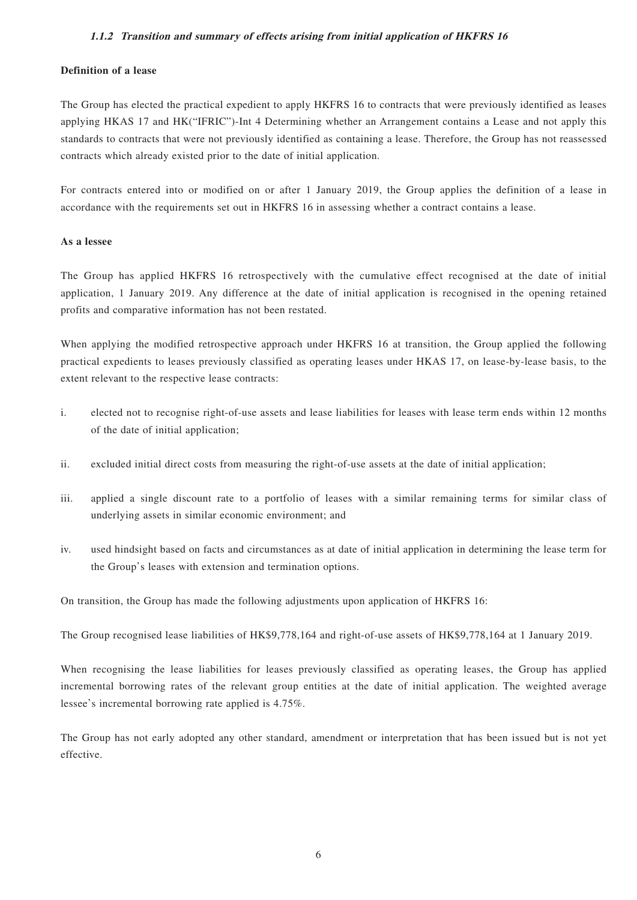### **1.1.2 Transition and summary of effects arising from initial application of HKFRS 16**

### **Definition of a lease**

The Group has elected the practical expedient to apply HKFRS 16 to contracts that were previously identified as leases applying HKAS 17 and HK("IFRIC")-Int 4 Determining whether an Arrangement contains a Lease and not apply this standards to contracts that were not previously identified as containing a lease. Therefore, the Group has not reassessed contracts which already existed prior to the date of initial application.

For contracts entered into or modified on or after 1 January 2019, the Group applies the definition of a lease in accordance with the requirements set out in HKFRS 16 in assessing whether a contract contains a lease.

#### **As a lessee**

The Group has applied HKFRS 16 retrospectively with the cumulative effect recognised at the date of initial application, 1 January 2019. Any difference at the date of initial application is recognised in the opening retained profits and comparative information has not been restated.

When applying the modified retrospective approach under HKFRS 16 at transition, the Group applied the following practical expedients to leases previously classified as operating leases under HKAS 17, on lease-by-lease basis, to the extent relevant to the respective lease contracts:

- i. elected not to recognise right-of-use assets and lease liabilities for leases with lease term ends within 12 months of the date of initial application;
- ii. excluded initial direct costs from measuring the right-of-use assets at the date of initial application;
- iii. applied a single discount rate to a portfolio of leases with a similar remaining terms for similar class of underlying assets in similar economic environment; and
- iv. used hindsight based on facts and circumstances as at date of initial application in determining the lease term for the Group's leases with extension and termination options.

On transition, the Group has made the following adjustments upon application of HKFRS 16:

The Group recognised lease liabilities of HK\$9,778,164 and right-of-use assets of HK\$9,778,164 at 1 January 2019.

When recognising the lease liabilities for leases previously classified as operating leases, the Group has applied incremental borrowing rates of the relevant group entities at the date of initial application. The weighted average lessee's incremental borrowing rate applied is 4.75%.

The Group has not early adopted any other standard, amendment or interpretation that has been issued but is not yet effective.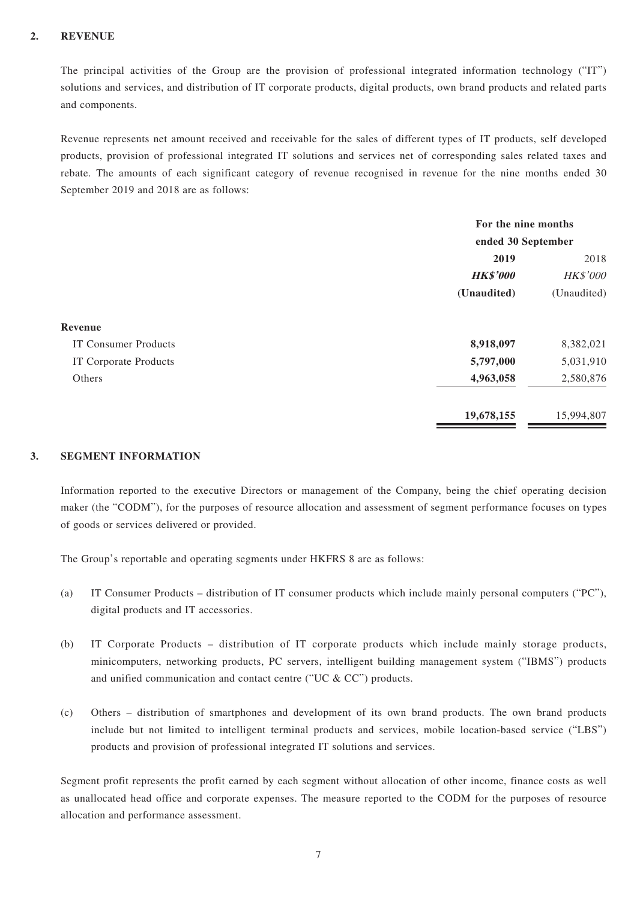### **2. REVENUE**

The principal activities of the Group are the provision of professional integrated information technology ("IT") solutions and services, and distribution of IT corporate products, digital products, own brand products and related parts and components.

Revenue represents net amount received and receivable for the sales of different types of IT products, self developed products, provision of professional integrated IT solutions and services net of corresponding sales related taxes and rebate. The amounts of each significant category of revenue recognised in revenue for the nine months ended 30 September 2019 and 2018 are as follows:

|                             | For the nine months<br>ended 30 September |            |  |
|-----------------------------|-------------------------------------------|------------|--|
|                             |                                           |            |  |
|                             | 2019                                      |            |  |
|                             | <b>HK\$'000</b>                           | HK\$'000   |  |
|                             | (Unaudited)                               |            |  |
| Revenue                     |                                           |            |  |
| <b>IT Consumer Products</b> | 8,918,097                                 | 8,382,021  |  |
| IT Corporate Products       | 5,797,000                                 | 5,031,910  |  |
| Others                      | 4,963,058                                 | 2,580,876  |  |
|                             | 19,678,155                                | 15,994,807 |  |

### **3. SEGMENT INFORMATION**

Information reported to the executive Directors or management of the Company, being the chief operating decision maker (the "CODM"), for the purposes of resource allocation and assessment of segment performance focuses on types of goods or services delivered or provided.

The Group's reportable and operating segments under HKFRS 8 are as follows:

- (a) IT Consumer Products distribution of IT consumer products which include mainly personal computers ("PC"), digital products and IT accessories.
- (b) IT Corporate Products distribution of IT corporate products which include mainly storage products, minicomputers, networking products, PC servers, intelligent building management system ("IBMS") products and unified communication and contact centre ("UC & CC") products.
- (c) Others distribution of smartphones and development of its own brand products. The own brand products include but not limited to intelligent terminal products and services, mobile location-based service ("LBS") products and provision of professional integrated IT solutions and services.

Segment profit represents the profit earned by each segment without allocation of other income, finance costs as well as unallocated head office and corporate expenses. The measure reported to the CODM for the purposes of resource allocation and performance assessment.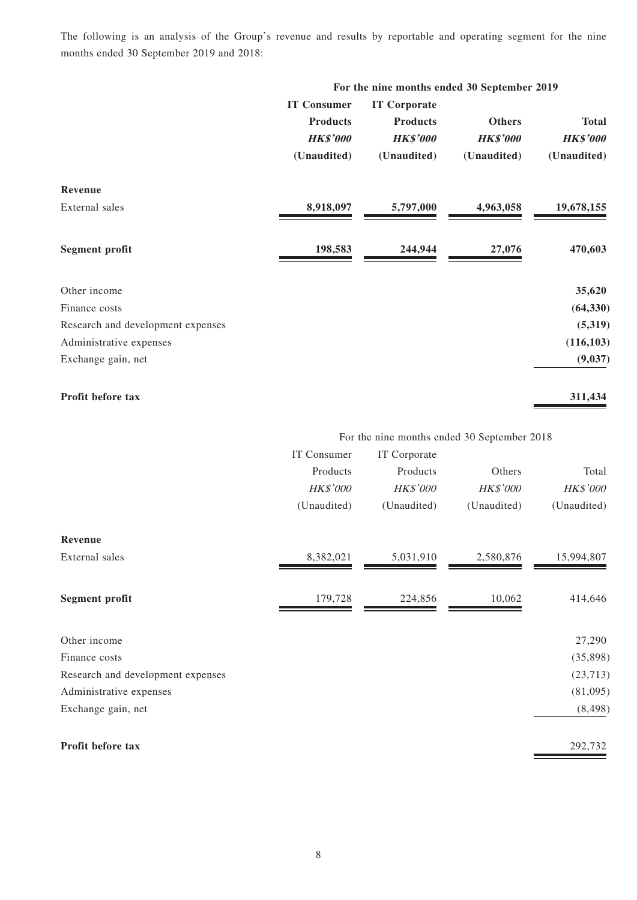The following is an analysis of the Group's revenue and results by reportable and operating segment for the nine months ended 30 September 2019 and 2018:

|                                   | For the nine months ended 30 September 2019 |                     |                 |                 |
|-----------------------------------|---------------------------------------------|---------------------|-----------------|-----------------|
|                                   | <b>IT Consumer</b>                          | <b>IT Corporate</b> |                 |                 |
|                                   | <b>Products</b>                             | <b>Products</b>     | <b>Others</b>   | <b>Total</b>    |
|                                   | <b>HK\$'000</b>                             | <b>HK\$'000</b>     | <b>HK\$'000</b> | <b>HK\$'000</b> |
|                                   | (Unaudited)                                 | (Unaudited)         | (Unaudited)     | (Unaudited)     |
| Revenue                           |                                             |                     |                 |                 |
| External sales                    | 8,918,097                                   | 5,797,000           | 4,963,058       | 19,678,155      |
| <b>Segment profit</b>             | 198,583                                     | 244,944             | 27,076          | 470,603         |
| Other income                      |                                             |                     |                 | 35,620          |
| Finance costs                     |                                             |                     |                 | (64, 330)       |
| Research and development expenses |                                             |                     |                 | (5,319)         |
| Administrative expenses           |                                             |                     |                 | (116, 103)      |
| Exchange gain, net                |                                             |                     |                 | (9,037)         |

**Profit before tax 311,434**

For the nine months ended 30 September 2018

|                                   | IT Consumer     | IT Corporate    |             |                 |
|-----------------------------------|-----------------|-----------------|-------------|-----------------|
|                                   | Products        | Products        | Others      | Total           |
|                                   | <b>HK\$'000</b> | <b>HK\$'000</b> | HK\$'000    | <b>HK\$'000</b> |
|                                   | (Unaudited)     | (Unaudited)     | (Unaudited) | (Unaudited)     |
| Revenue                           |                 |                 |             |                 |
| External sales                    | 8,382,021       | 5,031,910       | 2,580,876   | 15,994,807      |
| <b>Segment profit</b>             | 179,728         | 224,856         | 10,062      | 414,646         |
| Other income                      |                 |                 |             | 27,290          |
| Finance costs                     |                 |                 |             | (35,898)        |
| Research and development expenses |                 |                 |             | (23, 713)       |
| Administrative expenses           |                 |                 |             | (81,095)        |
| Exchange gain, net                |                 |                 |             | (8, 498)        |
| Profit before tax                 |                 |                 |             | 292,732         |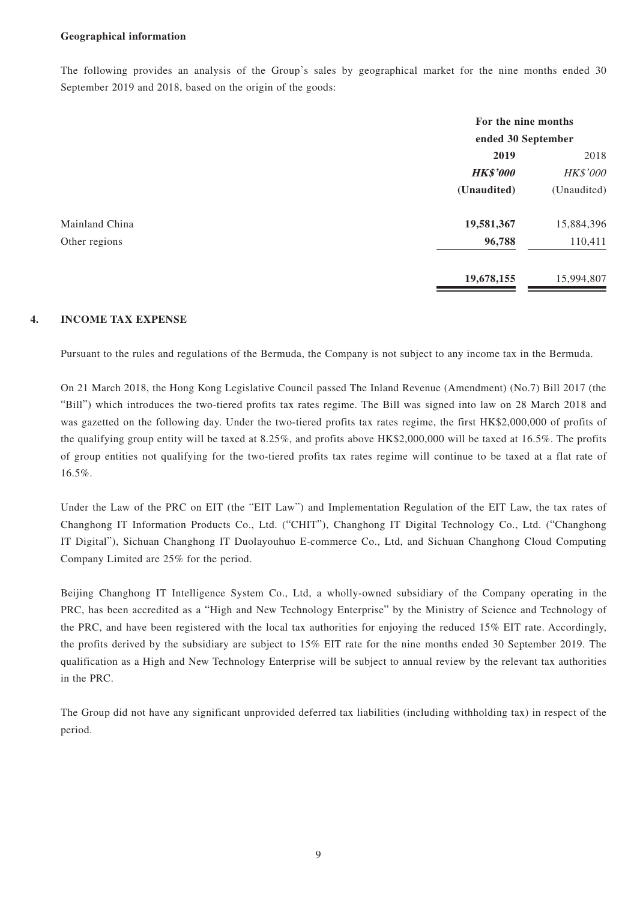#### **Geographical information**

The following provides an analysis of the Group's sales by geographical market for the nine months ended 30 September 2019 and 2018, based on the origin of the goods:

|                |                 | For the nine months<br>ended 30 September |  |  |
|----------------|-----------------|-------------------------------------------|--|--|
|                |                 |                                           |  |  |
|                | 2019            | 2018                                      |  |  |
|                | <b>HK\$'000</b> | <b>HK\$'000</b>                           |  |  |
|                | (Unaudited)     | (Unaudited)                               |  |  |
| Mainland China | 19,581,367      | 15,884,396                                |  |  |
| Other regions  | 96,788          | 110,411                                   |  |  |
|                | 19,678,155      | 15,994,807                                |  |  |

### **4. INCOME TAX EXPENSE**

Pursuant to the rules and regulations of the Bermuda, the Company is not subject to any income tax in the Bermuda.

On 21 March 2018, the Hong Kong Legislative Council passed The Inland Revenue (Amendment) (No.7) Bill 2017 (the "Bill") which introduces the two-tiered profits tax rates regime. The Bill was signed into law on 28 March 2018 and was gazetted on the following day. Under the two-tiered profits tax rates regime, the first HK\$2,000,000 of profits of the qualifying group entity will be taxed at 8.25%, and profits above HK\$2,000,000 will be taxed at 16.5%. The profits of group entities not qualifying for the two-tiered profits tax rates regime will continue to be taxed at a flat rate of 16.5%.

Under the Law of the PRC on EIT (the "EIT Law") and Implementation Regulation of the EIT Law, the tax rates of Changhong IT Information Products Co., Ltd. ("CHIT"), Changhong IT Digital Technology Co., Ltd. ("Changhong IT Digital"), Sichuan Changhong IT Duolayouhuo E-commerce Co., Ltd, and Sichuan Changhong Cloud Computing Company Limited are 25% for the period.

Beijing Changhong IT Intelligence System Co., Ltd, a wholly-owned subsidiary of the Company operating in the PRC, has been accredited as a "High and New Technology Enterprise" by the Ministry of Science and Technology of the PRC, and have been registered with the local tax authorities for enjoying the reduced 15% EIT rate. Accordingly, the profits derived by the subsidiary are subject to 15% EIT rate for the nine months ended 30 September 2019. The qualification as a High and New Technology Enterprise will be subject to annual review by the relevant tax authorities in the PRC.

The Group did not have any significant unprovided deferred tax liabilities (including withholding tax) in respect of the period.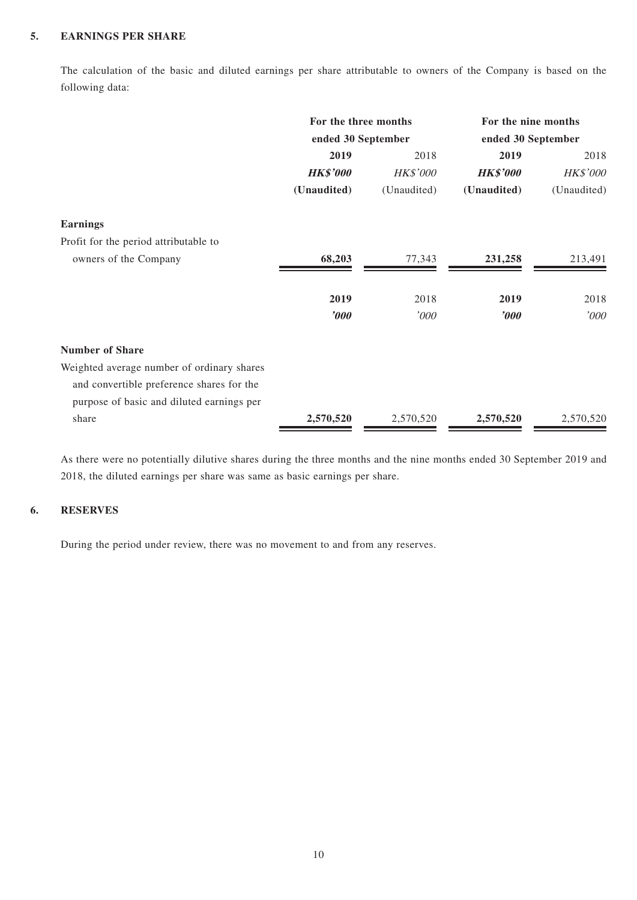### **5. EARNINGS PER SHARE**

The calculation of the basic and diluted earnings per share attributable to owners of the Company is based on the following data:

|                                            | For the three months<br>ended 30 September |             | For the nine months<br>ended 30 September |             |
|--------------------------------------------|--------------------------------------------|-------------|-------------------------------------------|-------------|
|                                            |                                            |             |                                           |             |
|                                            | 2019                                       | 2018        | 2019                                      | 2018        |
|                                            | <b>HK\$'000</b>                            | HK\$'000    | <b>HK\$'000</b>                           | HK\$'000    |
|                                            | (Unaudited)                                | (Unaudited) | (Unaudited)                               | (Unaudited) |
| <b>Earnings</b>                            |                                            |             |                                           |             |
| Profit for the period attributable to      |                                            |             |                                           |             |
| owners of the Company                      | 68,203                                     | 77,343      | 231,258                                   | 213,491     |
|                                            | 2019                                       | 2018        | 2019                                      | 2018        |
|                                            | 2000                                       | '000        | $\boldsymbol{\delta}$                     | '000        |
| <b>Number of Share</b>                     |                                            |             |                                           |             |
| Weighted average number of ordinary shares |                                            |             |                                           |             |
| and convertible preference shares for the  |                                            |             |                                           |             |
| purpose of basic and diluted earnings per  |                                            |             |                                           |             |
| share                                      | 2,570,520                                  | 2,570,520   | 2,570,520                                 | 2,570,520   |

As there were no potentially dilutive shares during the three months and the nine months ended 30 September 2019 and 2018, the diluted earnings per share was same as basic earnings per share.

### **6. RESERVES**

During the period under review, there was no movement to and from any reserves.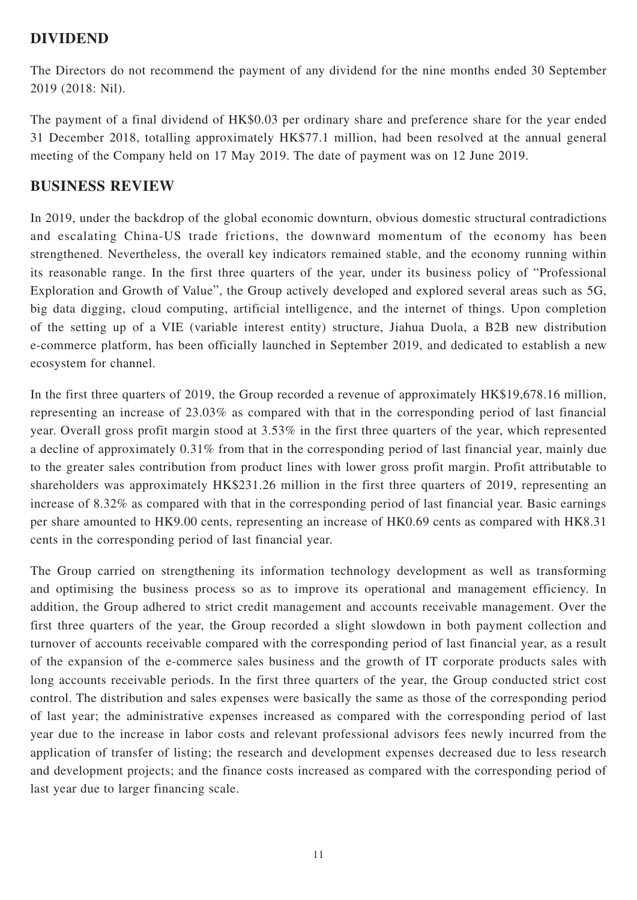## **DIVIDEND**

The Directors do not recommend the payment of any dividend for the nine months ended 30 September 2019 (2018: Nil).

The payment of a final dividend of HK\$0.03 per ordinary share and preference share for the year ended 31 December 2018, totalling approximately HK\$77.1 million, had been resolved at the annual general meeting of the Company held on 17 May 2019. The date of payment was on 12 June 2019.

## **BUSINESS REVIEW**

In 2019, under the backdrop of the global economic downturn, obvious domestic structural contradictions and escalating China-US trade frictions, the downward momentum of the economy has been strengthened. Nevertheless, the overall key indicators remained stable, and the economy running within its reasonable range. In the first three quarters of the year, under its business policy of "Professional Exploration and Growth of Value", the Group actively developed and explored several areas such as 5G, big data digging, cloud computing, artificial intelligence, and the internet of things. Upon completion of the setting up of a VIE (variable interest entity) structure, Jiahua Duola, a B2B new distribution e-commerce platform, has been officially launched in September 2019, and dedicated to establish a new ecosystem for channel.

In the first three quarters of 2019, the Group recorded a revenue of approximately HK\$19,678.16 million, representing an increase of 23.03% as compared with that in the corresponding period of last financial year. Overall gross profit margin stood at 3.53% in the first three quarters of the year, which represented a decline of approximately 0.31% from that in the corresponding period of last financial year, mainly due to the greater sales contribution from product lines with lower gross profit margin. Profit attributable to shareholders was approximately HK\$231.26 million in the first three quarters of 2019, representing an increase of 8.32% as compared with that in the corresponding period of last financial year. Basic earnings per share amounted to HK9.00 cents, representing an increase of HK0.69 cents as compared with HK8.31 cents in the corresponding period of last financial year.

The Group carried on strengthening its information technology development as well as transforming and optimising the business process so as to improve its operational and management efficiency. In addition, the Group adhered to strict credit management and accounts receivable management. Over the first three quarters of the year, the Group recorded a slight slowdown in both payment collection and turnover of accounts receivable compared with the corresponding period of last financial year, as a result of the expansion of the e-commerce sales business and the growth of IT corporate products sales with long accounts receivable periods. In the first three quarters of the year, the Group conducted strict cost control. The distribution and sales expenses were basically the same as those of the corresponding period of last year; the administrative expenses increased as compared with the corresponding period of last year due to the increase in labor costs and relevant professional advisors fees newly incurred from the application of transfer of listing; the research and development expenses decreased due to less research and development projects; and the finance costs increased as compared with the corresponding period of last year due to larger financing scale.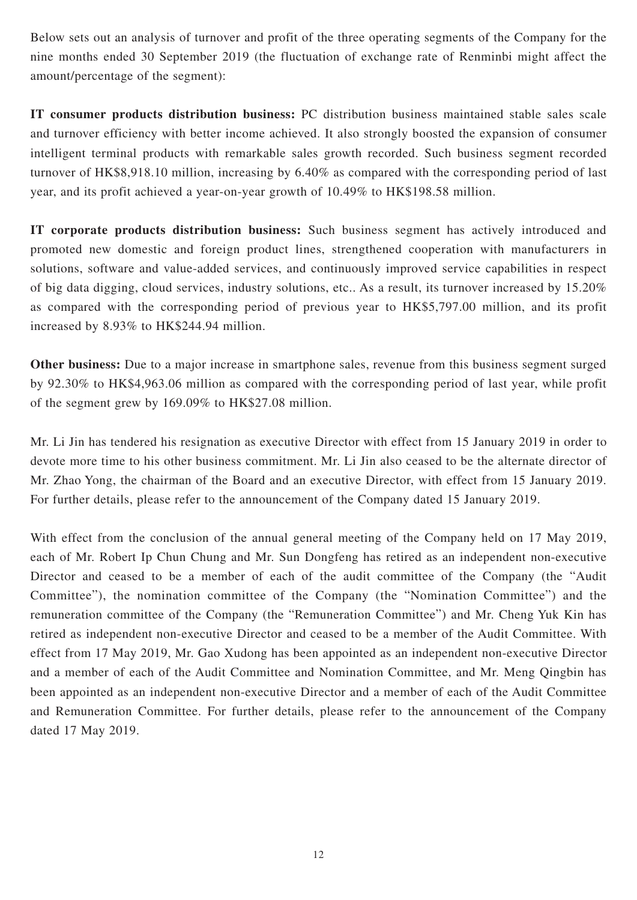Below sets out an analysis of turnover and profit of the three operating segments of the Company for the nine months ended 30 September 2019 (the fluctuation of exchange rate of Renminbi might affect the amount/percentage of the segment):

**IT consumer products distribution business:** PC distribution business maintained stable sales scale and turnover efficiency with better income achieved. It also strongly boosted the expansion of consumer intelligent terminal products with remarkable sales growth recorded. Such business segment recorded turnover of HK\$8,918.10 million, increasing by 6.40% as compared with the corresponding period of last year, and its profit achieved a year-on-year growth of 10.49% to HK\$198.58 million.

**IT corporate products distribution business:** Such business segment has actively introduced and promoted new domestic and foreign product lines, strengthened cooperation with manufacturers in solutions, software and value-added services, and continuously improved service capabilities in respect of big data digging, cloud services, industry solutions, etc.. As a result, its turnover increased by 15.20% as compared with the corresponding period of previous year to HK\$5,797.00 million, and its profit increased by 8.93% to HK\$244.94 million.

**Other business:** Due to a major increase in smartphone sales, revenue from this business segment surged by 92.30% to HK\$4,963.06 million as compared with the corresponding period of last year, while profit of the segment grew by 169.09% to HK\$27.08 million.

Mr. Li Jin has tendered his resignation as executive Director with effect from 15 January 2019 in order to devote more time to his other business commitment. Mr. Li Jin also ceased to be the alternate director of Mr. Zhao Yong, the chairman of the Board and an executive Director, with effect from 15 January 2019. For further details, please refer to the announcement of the Company dated 15 January 2019.

With effect from the conclusion of the annual general meeting of the Company held on 17 May 2019, each of Mr. Robert Ip Chun Chung and Mr. Sun Dongfeng has retired as an independent non-executive Director and ceased to be a member of each of the audit committee of the Company (the "Audit Committee"), the nomination committee of the Company (the "Nomination Committee") and the remuneration committee of the Company (the "Remuneration Committee") and Mr. Cheng Yuk Kin has retired as independent non-executive Director and ceased to be a member of the Audit Committee. With effect from 17 May 2019, Mr. Gao Xudong has been appointed as an independent non-executive Director and a member of each of the Audit Committee and Nomination Committee, and Mr. Meng Qingbin has been appointed as an independent non-executive Director and a member of each of the Audit Committee and Remuneration Committee. For further details, please refer to the announcement of the Company dated 17 May 2019.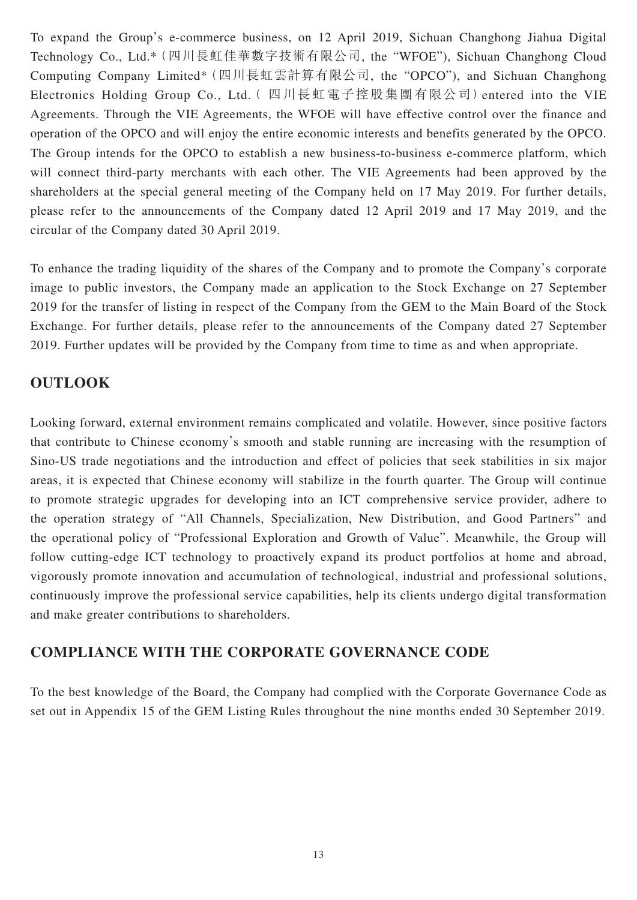To expand the Group's e-commerce business, on 12 April 2019, Sichuan Changhong Jiahua Digital Technology Co., Ltd.\*(四川長虹佳華數字技術有限公司, the "WFOE"), Sichuan Changhong Cloud Computing Company Limited\*(四川長虹雲計算有限公司, the "OPCO"), and Sichuan Changhong Electronics Holding Group Co., Ltd.( 四川長虹電子控股集團有限公司)entered into the VIE Agreements. Through the VIE Agreements, the WFOE will have effective control over the finance and operation of the OPCO and will enjoy the entire economic interests and benefits generated by the OPCO. The Group intends for the OPCO to establish a new business-to-business e-commerce platform, which will connect third-party merchants with each other. The VIE Agreements had been approved by the shareholders at the special general meeting of the Company held on 17 May 2019. For further details, please refer to the announcements of the Company dated 12 April 2019 and 17 May 2019, and the circular of the Company dated 30 April 2019.

To enhance the trading liquidity of the shares of the Company and to promote the Company's corporate image to public investors, the Company made an application to the Stock Exchange on 27 September 2019 for the transfer of listing in respect of the Company from the GEM to the Main Board of the Stock Exchange. For further details, please refer to the announcements of the Company dated 27 September 2019. Further updates will be provided by the Company from time to time as and when appropriate.

## **OUTLOOK**

Looking forward, external environment remains complicated and volatile. However, since positive factors that contribute to Chinese economy's smooth and stable running are increasing with the resumption of Sino-US trade negotiations and the introduction and effect of policies that seek stabilities in six major areas, it is expected that Chinese economy will stabilize in the fourth quarter. The Group will continue to promote strategic upgrades for developing into an ICT comprehensive service provider, adhere to the operation strategy of "All Channels, Specialization, New Distribution, and Good Partners" and the operational policy of "Professional Exploration and Growth of Value". Meanwhile, the Group will follow cutting-edge ICT technology to proactively expand its product portfolios at home and abroad, vigorously promote innovation and accumulation of technological, industrial and professional solutions, continuously improve the professional service capabilities, help its clients undergo digital transformation and make greater contributions to shareholders.

## **COMPLIANCE WITH THE CORPORATE GOVERNANCE CODE**

To the best knowledge of the Board, the Company had complied with the Corporate Governance Code as set out in Appendix 15 of the GEM Listing Rules throughout the nine months ended 30 September 2019.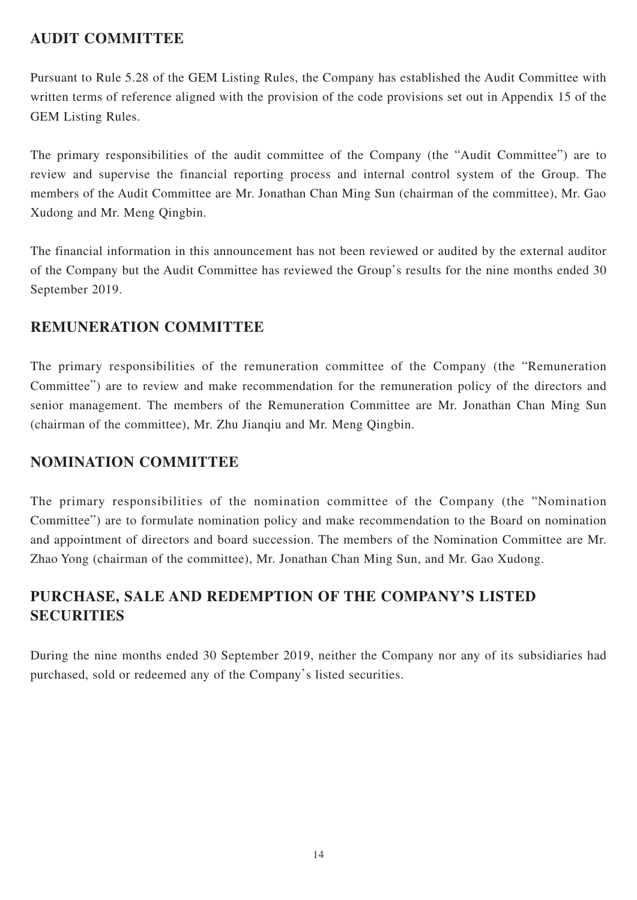# **AUDIT COMMITTEE**

Pursuant to Rule 5.28 of the GEM Listing Rules, the Company has established the Audit Committee with written terms of reference aligned with the provision of the code provisions set out in Appendix 15 of the GEM Listing Rules.

The primary responsibilities of the audit committee of the Company (the "Audit Committee") are to review and supervise the financial reporting process and internal control system of the Group. The members of the Audit Committee are Mr. Jonathan Chan Ming Sun (chairman of the committee), Mr. Gao Xudong and Mr. Meng Qingbin.

The financial information in this announcement has not been reviewed or audited by the external auditor of the Company but the Audit Committee has reviewed the Group's results for the nine months ended 30 September 2019.

## **REMUNERATION COMMITTEE**

The primary responsibilities of the remuneration committee of the Company (the "Remuneration Committee") are to review and make recommendation for the remuneration policy of the directors and senior management. The members of the Remuneration Committee are Mr. Jonathan Chan Ming Sun (chairman of the committee), Mr. Zhu Jianqiu and Mr. Meng Qingbin.

## **NOMINATION COMMITTEE**

The primary responsibilities of the nomination committee of the Company (the "Nomination Committee") are to formulate nomination policy and make recommendation to the Board on nomination and appointment of directors and board succession. The members of the Nomination Committee are Mr. Zhao Yong (chairman of the committee), Mr. Jonathan Chan Ming Sun, and Mr. Gao Xudong.

# **PURCHASE, SALE AND REDEMPTION OF THE COMPANY'S LISTED SECURITIES**

During the nine months ended 30 September 2019, neither the Company nor any of its subsidiaries had purchased, sold or redeemed any of the Company's listed securities.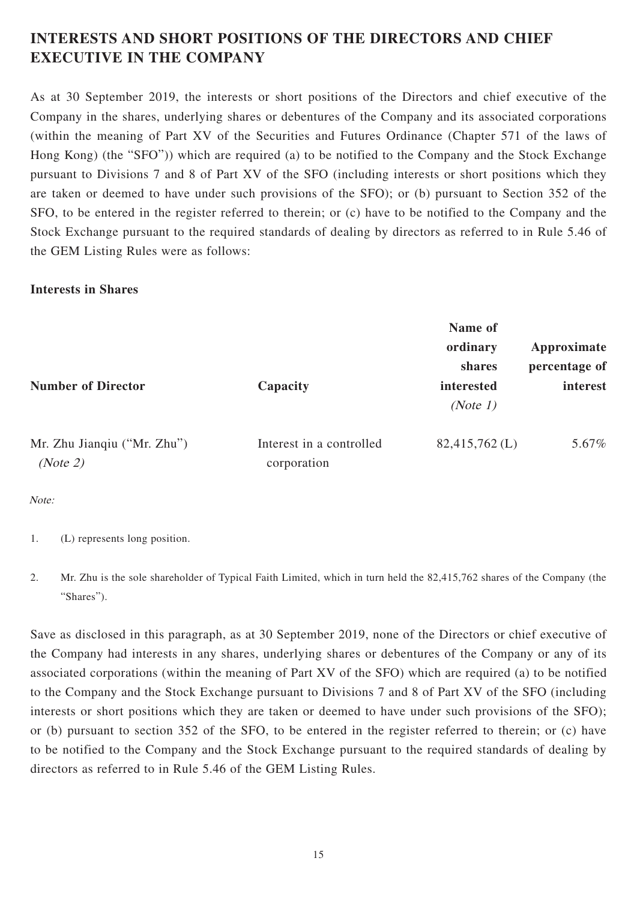# **INTERESTS AND SHORT POSITIONS OF THE DIRECTORS AND CHIEF EXECUTIVE IN THE COMPANY**

As at 30 September 2019, the interests or short positions of the Directors and chief executive of the Company in the shares, underlying shares or debentures of the Company and its associated corporations (within the meaning of Part XV of the Securities and Futures Ordinance (Chapter 571 of the laws of Hong Kong) (the "SFO")) which are required (a) to be notified to the Company and the Stock Exchange pursuant to Divisions 7 and 8 of Part XV of the SFO (including interests or short positions which they are taken or deemed to have under such provisions of the SFO); or (b) pursuant to Section 352 of the SFO, to be entered in the register referred to therein; or (c) have to be notified to the Company and the Stock Exchange pursuant to the required standards of dealing by directors as referred to in Rule 5.46 of the GEM Listing Rules were as follows:

### **Interests in Shares**

|                                         |                                         | Name of<br>ordinary<br>shares | Approximate<br>percentage of |  |
|-----------------------------------------|-----------------------------------------|-------------------------------|------------------------------|--|
| <b>Number of Director</b>               | Capacity                                | interested<br>(Note 1)        | interest                     |  |
| Mr. Zhu Jianqiu ("Mr. Zhu")<br>(Note 2) | Interest in a controlled<br>corporation | $82,415,762$ (L)              | 5.67%                        |  |

Note:

- 1. (L) represents long position.
- 2. Mr. Zhu is the sole shareholder of Typical Faith Limited, which in turn held the 82,415,762 shares of the Company (the "Shares").

Save as disclosed in this paragraph, as at 30 September 2019, none of the Directors or chief executive of the Company had interests in any shares, underlying shares or debentures of the Company or any of its associated corporations (within the meaning of Part XV of the SFO) which are required (a) to be notified to the Company and the Stock Exchange pursuant to Divisions 7 and 8 of Part XV of the SFO (including interests or short positions which they are taken or deemed to have under such provisions of the SFO); or (b) pursuant to section 352 of the SFO, to be entered in the register referred to therein; or (c) have to be notified to the Company and the Stock Exchange pursuant to the required standards of dealing by directors as referred to in Rule 5.46 of the GEM Listing Rules.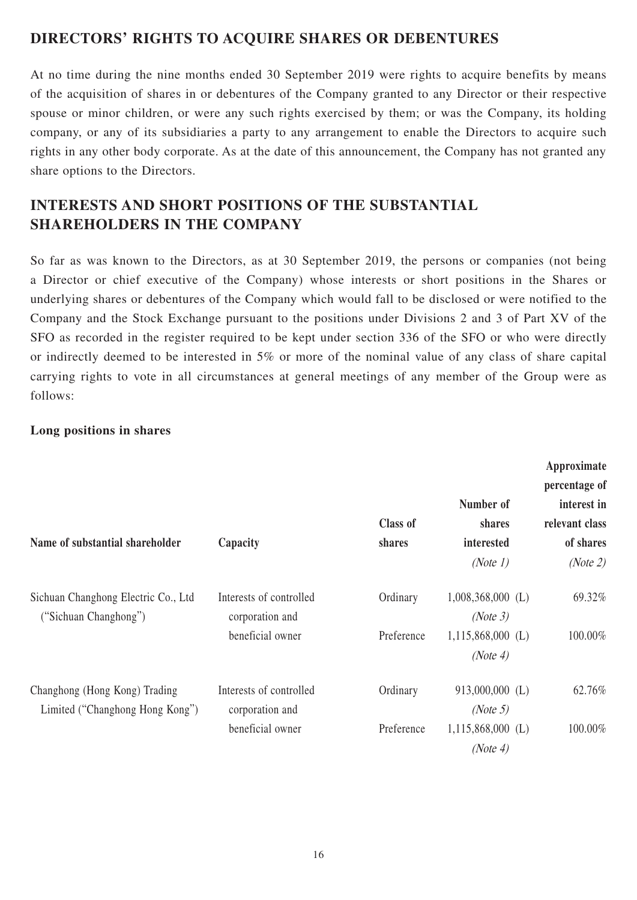## **DIRECTORS' RIGHTS TO ACQUIRE SHARES OR DEBENTURES**

At no time during the nine months ended 30 September 2019 were rights to acquire benefits by means of the acquisition of shares in or debentures of the Company granted to any Director or their respective spouse or minor children, or were any such rights exercised by them; or was the Company, its holding company, or any of its subsidiaries a party to any arrangement to enable the Directors to acquire such rights in any other body corporate. As at the date of this announcement, the Company has not granted any share options to the Directors.

# **INTERESTS AND SHORT POSITIONS OF THE SUBSTANTIAL SHAREHOLDERS IN THE COMPANY**

So far as was known to the Directors, as at 30 September 2019, the persons or companies (not being a Director or chief executive of the Company) whose interests or short positions in the Shares or underlying shares or debentures of the Company which would fall to be disclosed or were notified to the Company and the Stock Exchange pursuant to the positions under Divisions 2 and 3 of Part XV of the SFO as recorded in the register required to be kept under section 336 of the SFO or who were directly or indirectly deemed to be interested in 5% or more of the nominal value of any class of share capital carrying rights to vote in all circumstances at general meetings of any member of the Group were as follows:

## **Long positions in shares**

| Name of substantial shareholder                                  | Capacity                                   | <b>Class of</b><br>shares | Number of<br>shares<br>interested<br>(Note 1) | Approximate<br>percentage of<br>interest in<br>relevant class<br>of shares<br>(Note 2) |
|------------------------------------------------------------------|--------------------------------------------|---------------------------|-----------------------------------------------|----------------------------------------------------------------------------------------|
| Sichuan Changhong Electric Co., Ltd<br>("Sichuan Changhong")     | Interests of controlled<br>corporation and | Ordinary                  | $1,008,368,000$ (L)<br>(Note 3)               | 69.32%                                                                                 |
|                                                                  | beneficial owner                           | Preference                | $1,115,868,000$ (L)<br>(Note 4)               | 100.00%                                                                                |
| Changhong (Hong Kong) Trading<br>Limited ("Changhong Hong Kong") | Interests of controlled<br>corporation and | Ordinary                  | 913,000,000 (L)<br>(Note 5)                   | 62.76%                                                                                 |
|                                                                  | beneficial owner                           | Preference                | $1,115,868,000$ (L)<br>(Note 4)               | 100.00%                                                                                |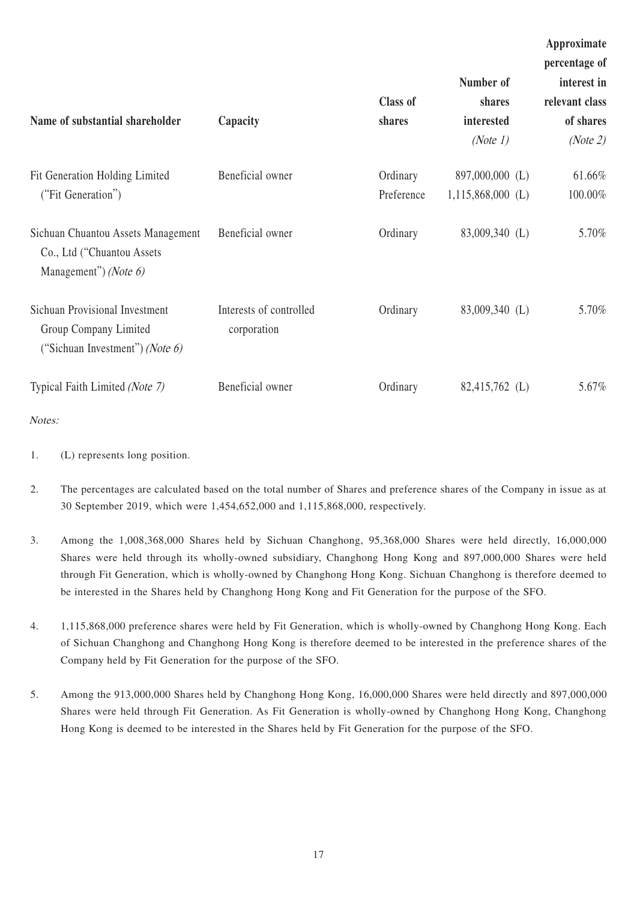| Name of substantial shareholder                                                                      | Capacity                               | <b>Class of</b><br>shares | Number of<br>shares<br>interested<br>(Note 1) | Approximate<br>percentage of<br>interest in<br>relevant class<br>of shares<br>(Note 2) |
|------------------------------------------------------------------------------------------------------|----------------------------------------|---------------------------|-----------------------------------------------|----------------------------------------------------------------------------------------|
| Fit Generation Holding Limited<br>("Fit Generation")                                                 | Beneficial owner                       | Ordinary<br>Preference    | 897,000,000 (L)<br>$1,115,868,000$ (L)        | 61.66%<br>100.00%                                                                      |
| Sichuan Chuantou Assets Management<br>Co., Ltd ("Chuantou Assets<br>Management") (Note 6)            | Beneficial owner                       | Ordinary                  | 83,009,340 (L)                                | 5.70%                                                                                  |
| <b>Sichuan Provisional Investment</b><br>Group Company Limited<br>("Sichuan Investment") (Note $6$ ) | Interests of controlled<br>corporation | Ordinary                  | 83,009,340 (L)                                | 5.70%                                                                                  |
| Typical Faith Limited (Note 7)                                                                       | Beneficial owner                       | Ordinary                  | 82,415,762 (L)                                | 5.67%                                                                                  |

- Notes:
- 1. (L) represents long position.
- 2. The percentages are calculated based on the total number of Shares and preference shares of the Company in issue as at 30 September 2019, which were 1,454,652,000 and 1,115,868,000, respectively.
- 3. Among the 1,008,368,000 Shares held by Sichuan Changhong, 95,368,000 Shares were held directly, 16,000,000 Shares were held through its wholly-owned subsidiary, Changhong Hong Kong and 897,000,000 Shares were held through Fit Generation, which is wholly-owned by Changhong Hong Kong. Sichuan Changhong is therefore deemed to be interested in the Shares held by Changhong Hong Kong and Fit Generation for the purpose of the SFO.
- 4. 1,115,868,000 preference shares were held by Fit Generation, which is wholly-owned by Changhong Hong Kong. Each of Sichuan Changhong and Changhong Hong Kong is therefore deemed to be interested in the preference shares of the Company held by Fit Generation for the purpose of the SFO.
- 5. Among the 913,000,000 Shares held by Changhong Hong Kong, 16,000,000 Shares were held directly and 897,000,000 Shares were held through Fit Generation. As Fit Generation is wholly-owned by Changhong Hong Kong, Changhong Hong Kong is deemed to be interested in the Shares held by Fit Generation for the purpose of the SFO.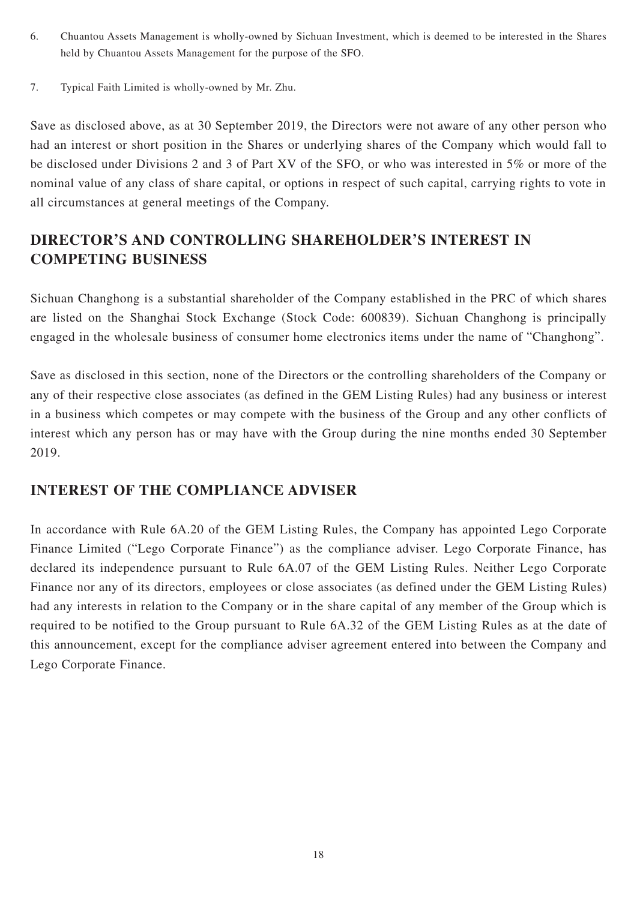- 6. Chuantou Assets Management is wholly-owned by Sichuan Investment, which is deemed to be interested in the Shares held by Chuantou Assets Management for the purpose of the SFO.
- 7. Typical Faith Limited is wholly-owned by Mr. Zhu.

Save as disclosed above, as at 30 September 2019, the Directors were not aware of any other person who had an interest or short position in the Shares or underlying shares of the Company which would fall to be disclosed under Divisions 2 and 3 of Part XV of the SFO, or who was interested in 5% or more of the nominal value of any class of share capital, or options in respect of such capital, carrying rights to vote in all circumstances at general meetings of the Company.

# **DIRECTOR'S AND CONTROLLING SHAREHOLDER'S INTEREST IN COMPETING BUSINESS**

Sichuan Changhong is a substantial shareholder of the Company established in the PRC of which shares are listed on the Shanghai Stock Exchange (Stock Code: 600839). Sichuan Changhong is principally engaged in the wholesale business of consumer home electronics items under the name of "Changhong".

Save as disclosed in this section, none of the Directors or the controlling shareholders of the Company or any of their respective close associates (as defined in the GEM Listing Rules) had any business or interest in a business which competes or may compete with the business of the Group and any other conflicts of interest which any person has or may have with the Group during the nine months ended 30 September 2019.

## **INTEREST OF THE COMPLIANCE ADVISER**

In accordance with Rule 6A.20 of the GEM Listing Rules, the Company has appointed Lego Corporate Finance Limited ("Lego Corporate Finance") as the compliance adviser. Lego Corporate Finance, has declared its independence pursuant to Rule 6A.07 of the GEM Listing Rules. Neither Lego Corporate Finance nor any of its directors, employees or close associates (as defined under the GEM Listing Rules) had any interests in relation to the Company or in the share capital of any member of the Group which is required to be notified to the Group pursuant to Rule 6A.32 of the GEM Listing Rules as at the date of this announcement, except for the compliance adviser agreement entered into between the Company and Lego Corporate Finance.